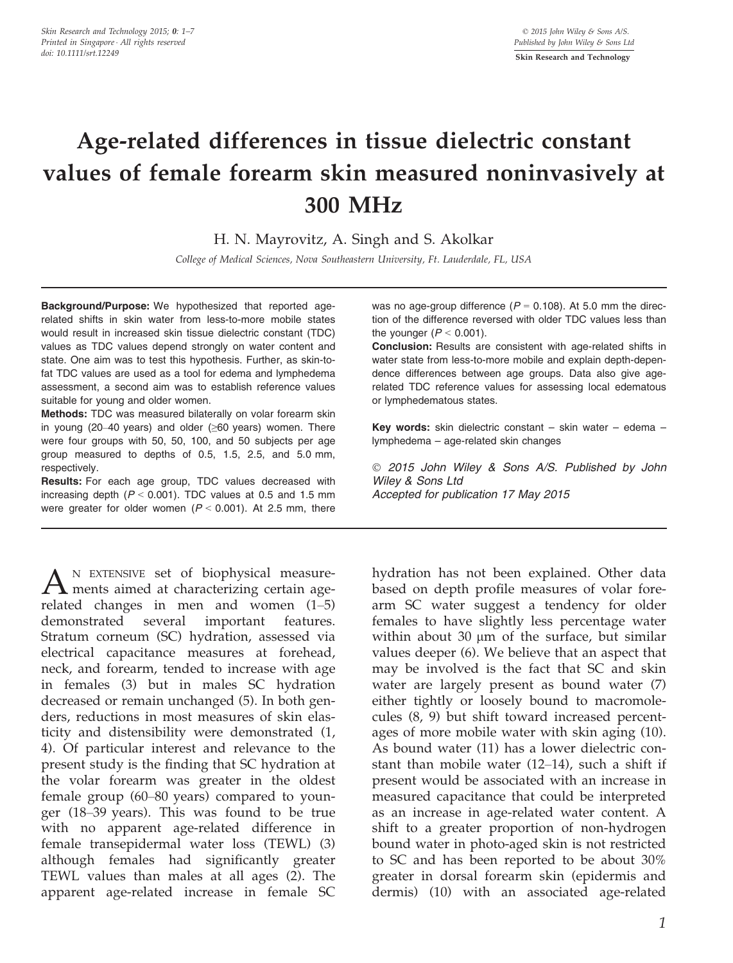# Age-related differences in tissue dielectric constant values of female forearm skin measured noninvasively at 300 MHz

H. N. Mayrovitz, A. Singh and S. Akolkar

College of Medical Sciences, Nova Southeastern University, Ft. Lauderdale, FL, USA

Background/Purpose: We hypothesized that reported agerelated shifts in skin water from less-to-more mobile states would result in increased skin tissue dielectric constant (TDC) values as TDC values depend strongly on water content and state. One aim was to test this hypothesis. Further, as skin-tofat TDC values are used as a tool for edema and lymphedema assessment, a second aim was to establish reference values suitable for young and older women.

Methods: TDC was measured bilaterally on volar forearm skin in young (20–40 years) and older (≥60 years) women. There were four groups with 50, 50, 100, and 50 subjects per age group measured to depths of 0.5, 1.5, 2.5, and 5.0 mm, respectively.

Results: For each age group, TDC values decreased with increasing depth  $(P < 0.001)$ . TDC values at 0.5 and 1.5 mm were greater for older women  $(P < 0.001)$ . At 2.5 mm, there

 $A_{\text{ments aimed at characterizing certain age}}$ related changes in men and women (1–5) demonstrated several important features. Stratum corneum (SC) hydration, assessed via electrical capacitance measures at forehead, neck, and forearm, tended to increase with age in females (3) but in males SC hydration decreased or remain unchanged (5). In both genders, reductions in most measures of skin elasticity and distensibility were demonstrated (1, 4). Of particular interest and relevance to the present study is the finding that SC hydration at the volar forearm was greater in the oldest female group (60–80 years) compared to younger (18–39 years). This was found to be true with no apparent age-related difference in female transepidermal water loss (TEWL) (3) although females had significantly greater TEWL values than males at all ages (2). The apparent age-related increase in female SC

was no age-group difference ( $P = 0.108$ ). At 5.0 mm the direction of the difference reversed with older TDC values less than the younger  $(P < 0.001)$ .

Conclusion: Results are consistent with age-related shifts in water state from less-to-more mobile and explain depth-dependence differences between age groups. Data also give agerelated TDC reference values for assessing local edematous or lymphedematous states.

Key words: skin dielectric constant – skin water – edema – lymphedema – age-related skin changes

 2015 John Wiley & Sons A/S. Published by John Wiley & Sons Ltd Accepted for publication 17 May 2015

hydration has not been explained. Other data based on depth profile measures of volar forearm SC water suggest a tendency for older females to have slightly less percentage water within about 30  $\mu$ m of the surface, but similar values deeper (6). We believe that an aspect that may be involved is the fact that SC and skin water are largely present as bound water (7) either tightly or loosely bound to macromolecules (8, 9) but shift toward increased percentages of more mobile water with skin aging (10). As bound water (11) has a lower dielectric constant than mobile water (12–14), such a shift if present would be associated with an increase in measured capacitance that could be interpreted as an increase in age-related water content. A shift to a greater proportion of non-hydrogen bound water in photo-aged skin is not restricted to SC and has been reported to be about 30% greater in dorsal forearm skin (epidermis and dermis) (10) with an associated age-related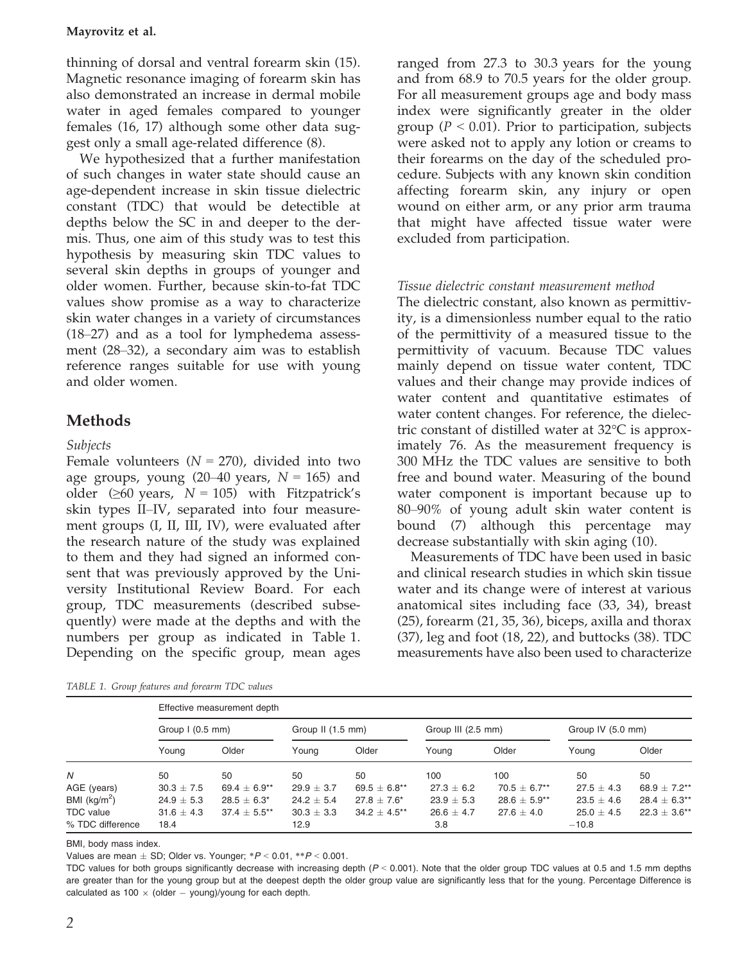#### Mayrovitz et al.

thinning of dorsal and ventral forearm skin (15). Magnetic resonance imaging of forearm skin has also demonstrated an increase in dermal mobile water in aged females compared to younger females (16, 17) although some other data suggest only a small age-related difference (8).

We hypothesized that a further manifestation of such changes in water state should cause an age-dependent increase in skin tissue dielectric constant (TDC) that would be detectible at depths below the SC in and deeper to the dermis. Thus, one aim of this study was to test this hypothesis by measuring skin TDC values to several skin depths in groups of younger and older women. Further, because skin-to-fat TDC values show promise as a way to characterize skin water changes in a variety of circumstances (18–27) and as a tool for lymphedema assessment (28–32), a secondary aim was to establish reference ranges suitable for use with young and older women.

## **Methods**

#### Subjects

Female volunteers  $(N = 270)$ , divided into two age groups, young  $(20-40 \text{ years}, N = 165)$  and older ( $\geq 60$  years,  $N = 105$ ) with Fitzpatrick's skin types II–IV, separated into four measurement groups (I, II, III, IV), were evaluated after the research nature of the study was explained to them and they had signed an informed consent that was previously approved by the University Institutional Review Board. For each group, TDC measurements (described subsequently) were made at the depths and with the numbers per group as indicated in Table 1. Depending on the specific group, mean ages

| TABLE 1. Group features and forearm TDC values |  |  |
|------------------------------------------------|--|--|
|------------------------------------------------|--|--|

ranged from 27.3 to 30.3 years for the young and from 68.9 to 70.5 years for the older group. For all measurement groups age and body mass index were significantly greater in the older group ( $P < 0.01$ ). Prior to participation, subjects were asked not to apply any lotion or creams to their forearms on the day of the scheduled procedure. Subjects with any known skin condition affecting forearm skin, any injury or open wound on either arm, or any prior arm trauma that might have affected tissue water were excluded from participation.

#### Tissue dielectric constant measurement method

The dielectric constant, also known as permittivity, is a dimensionless number equal to the ratio of the permittivity of a measured tissue to the permittivity of vacuum. Because TDC values mainly depend on tissue water content, TDC values and their change may provide indices of water content and quantitative estimates of water content changes. For reference, the dielectric constant of distilled water at 32°C is approximately 76. As the measurement frequency is 300 MHz the TDC values are sensitive to both free and bound water. Measuring of the bound water component is important because up to 80–90% of young adult skin water content is bound (7) although this percentage may decrease substantially with skin aging (10).

Measurements of TDC have been used in basic and clinical research studies in which skin tissue water and its change were of interest at various anatomical sites including face (33, 34), breast (25), forearm (21, 35, 36), biceps, axilla and thorax (37), leg and foot (18, 22), and buttocks (38). TDC measurements have also been used to characterize

|                  | Effective measurement depth |                  |                   |                   |                    |                   |                   |                  |  |
|------------------|-----------------------------|------------------|-------------------|-------------------|--------------------|-------------------|-------------------|------------------|--|
|                  | Group $1(0.5$ mm)           |                  | Group II (1.5 mm) |                   | Group III (2.5 mm) |                   | Group IV (5.0 mm) |                  |  |
|                  | Young                       | Older            | Young             | Older             | Young              | Older             | Young             | Older            |  |
| Ν                | 50                          | 50               | 50                | 50                | 100                | 100               | 50                | 50               |  |
| AGE (years)      | $30.3 \pm 7.5$              | 69.4 $\pm$ 6.9** | $29.9 \pm 3.7$    | $69.5 \pm 6.8***$ | $27.3 \pm 6.2$     | $70.5 \pm 6.7***$ | $27.5 \pm 4.3$    | 68.9 $\pm$ 7.2** |  |
| BMI $(kg/m^2)$   | $24.9 \pm 5.3$              | $28.5 \pm 6.3^*$ | $24.2 \pm 5.4$    | $27.8 + 7.6*$     | $23.9 \pm 5.3$     | $28.6 \pm 5.9**$  | $23.5 \pm 4.6$    | $28.4 \pm 6.3**$ |  |
| <b>TDC</b> value | $31.6 \pm 4.3$              | $37.4 + 5.5***$  | $30.3 \pm 3.3$    | $34.2 + 4.5$ **   | $26.6 \pm 4.7$     | $27.6 + 4.0$      | $25.0 + 4.5$      | $22.3 + 3.6**$   |  |
| % TDC difference | 18.4                        |                  | 12.9              |                   | 3.8                |                   | $-10.8$           |                  |  |

BMI, body mass index.

Values are mean  $\pm$  SD; Older vs. Younger;  $*P < 0.01$ ,  $*P < 0.001$ .

TDC values for both groups significantly decrease with increasing depth  $(P < 0.001)$ . Note that the older group TDC values at 0.5 and 1.5 mm depths are greater than for the young group but at the deepest depth the older group value are significantly less that for the young. Percentage Difference is calculated as 100  $\times$  (older  $-$  young)/young for each depth.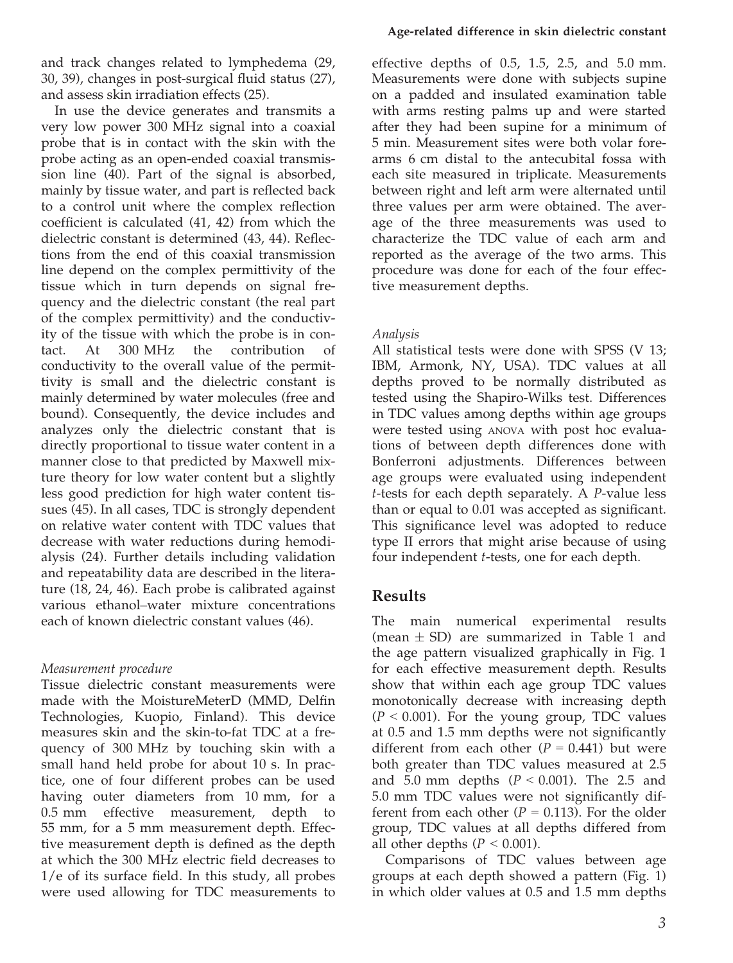and track changes related to lymphedema (29, 30, 39), changes in post-surgical fluid status (27), and assess skin irradiation effects (25).

In use the device generates and transmits a very low power 300 MHz signal into a coaxial probe that is in contact with the skin with the probe acting as an open-ended coaxial transmission line (40). Part of the signal is absorbed, mainly by tissue water, and part is reflected back to a control unit where the complex reflection coefficient is calculated (41, 42) from which the dielectric constant is determined (43, 44). Reflections from the end of this coaxial transmission line depend on the complex permittivity of the tissue which in turn depends on signal frequency and the dielectric constant (the real part of the complex permittivity) and the conductivity of the tissue with which the probe is in contact. At 300 MHz the contribution of conductivity to the overall value of the permittivity is small and the dielectric constant is mainly determined by water molecules (free and bound). Consequently, the device includes and analyzes only the dielectric constant that is directly proportional to tissue water content in a manner close to that predicted by Maxwell mixture theory for low water content but a slightly less good prediction for high water content tissues (45). In all cases, TDC is strongly dependent on relative water content with TDC values that decrease with water reductions during hemodialysis (24). Further details including validation and repeatability data are described in the literature (18, 24, 46). Each probe is calibrated against various ethanol–water mixture concentrations each of known dielectric constant values (46).

#### Measurement procedure

Tissue dielectric constant measurements were made with the MoistureMeterD (MMD, Delfin Technologies, Kuopio, Finland). This device measures skin and the skin-to-fat TDC at a frequency of 300 MHz by touching skin with a small hand held probe for about 10 s. In practice, one of four different probes can be used having outer diameters from 10 mm, for a 0.5 mm effective measurement, depth to 55 mm, for a 5 mm measurement depth. Effective measurement depth is defined as the depth at which the 300 MHz electric field decreases to 1/e of its surface field. In this study, all probes were used allowing for TDC measurements to

effective depths of 0.5, 1.5, 2.5, and 5.0 mm. Measurements were done with subjects supine on a padded and insulated examination table with arms resting palms up and were started after they had been supine for a minimum of 5 min. Measurement sites were both volar forearms 6 cm distal to the antecubital fossa with each site measured in triplicate. Measurements between right and left arm were alternated until three values per arm were obtained. The average of the three measurements was used to characterize the TDC value of each arm and reported as the average of the two arms. This procedure was done for each of the four effective measurement depths.

### Analysis

All statistical tests were done with SPSS (V 13; IBM, Armonk, NY, USA). TDC values at all depths proved to be normally distributed as tested using the Shapiro-Wilks test. Differences in TDC values among depths within age groups were tested using ANOVA with post hoc evaluations of between depth differences done with Bonferroni adjustments. Differences between age groups were evaluated using independent t-tests for each depth separately. A P-value less than or equal to 0.01 was accepted as significant. This significance level was adopted to reduce type II errors that might arise because of using four independent t-tests, one for each depth.

## Results

The main numerical experimental results (mean  $\pm$  SD) are summarized in Table 1 and the age pattern visualized graphically in Fig. 1 for each effective measurement depth. Results show that within each age group TDC values monotonically decrease with increasing depth  $(P < 0.001)$ . For the young group, TDC values at 0.5 and 1.5 mm depths were not significantly different from each other  $(P = 0.441)$  but were both greater than TDC values measured at 2.5 and 5.0 mm depths ( $P < 0.001$ ). The 2.5 and 5.0 mm TDC values were not significantly different from each other ( $P = 0.113$ ). For the older group, TDC values at all depths differed from all other depths ( $P < 0.001$ ).

Comparisons of TDC values between age groups at each depth showed a pattern (Fig. 1) in which older values at 0.5 and 1.5 mm depths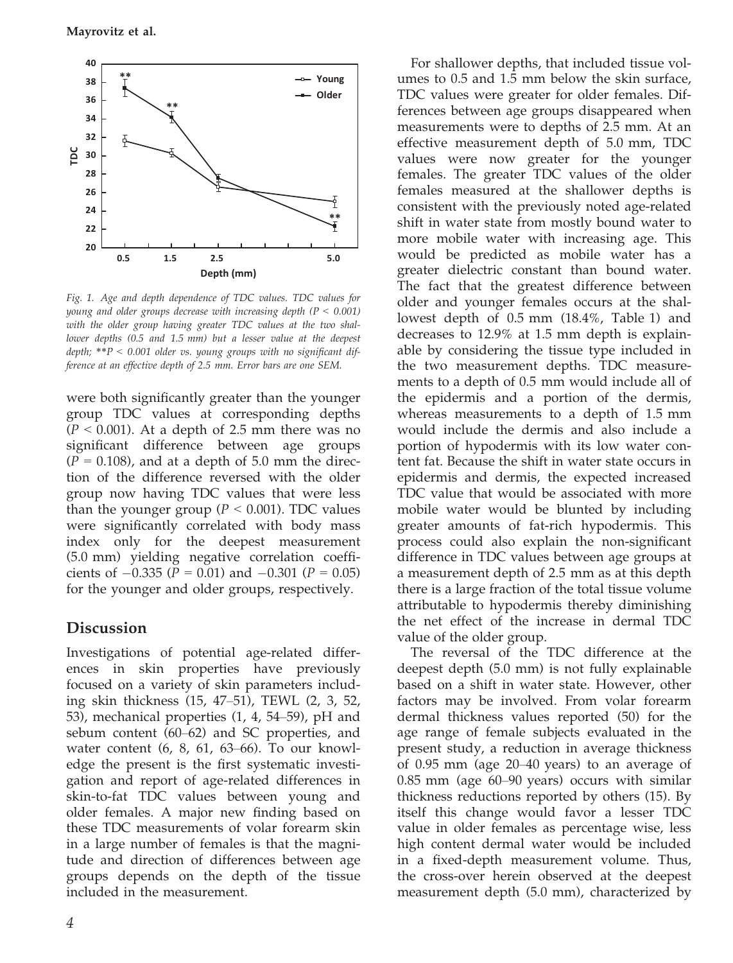Mayrovitz et al.



Fig. 1. Age and depth dependence of TDC values. TDC values for young and older groups decrease with increasing depth  $(P < 0.001)$ with the older group having greater TDC values at the two shallower depths (0.5 and 1.5 mm) but a lesser value at the deepest depth;  $*P < 0.001$  older vs. young groups with no significant difference at an effective depth of 2.5 mm. Error bars are one SEM.

were both significantly greater than the younger group TDC values at corresponding depths  $(P < 0.001)$ . At a depth of 2.5 mm there was no significant difference between age groups  $(P = 0.108)$ , and at a depth of 5.0 mm the direction of the difference reversed with the older group now having TDC values that were less than the younger group ( $P < 0.001$ ). TDC values were significantly correlated with body mass index only for the deepest measurement (5.0 mm) yielding negative correlation coefficients of  $-0.335$  ( $P = 0.01$ ) and  $-0.301$  ( $P = 0.05$ ) for the younger and older groups, respectively.

## Discussion

Investigations of potential age-related differences in skin properties have previously focused on a variety of skin parameters including skin thickness (15, 47–51), TEWL (2, 3, 52, 53), mechanical properties (1, 4, 54–59), pH and sebum content (60–62) and SC properties, and water content (6, 8, 61, 63–66). To our knowledge the present is the first systematic investigation and report of age-related differences in skin-to-fat TDC values between young and older females. A major new finding based on these TDC measurements of volar forearm skin in a large number of females is that the magnitude and direction of differences between age groups depends on the depth of the tissue included in the measurement.

For shallower depths, that included tissue volumes to 0.5 and 1.5 mm below the skin surface, TDC values were greater for older females. Differences between age groups disappeared when measurements were to depths of 2.5 mm. At an effective measurement depth of 5.0 mm, TDC values were now greater for the younger females. The greater TDC values of the older females measured at the shallower depths is consistent with the previously noted age-related shift in water state from mostly bound water to more mobile water with increasing age. This would be predicted as mobile water has a greater dielectric constant than bound water. The fact that the greatest difference between older and younger females occurs at the shallowest depth of 0.5 mm (18.4%, Table 1) and decreases to 12.9% at 1.5 mm depth is explainable by considering the tissue type included in the two measurement depths. TDC measurements to a depth of 0.5 mm would include all of the epidermis and a portion of the dermis, whereas measurements to a depth of 1.5 mm would include the dermis and also include a portion of hypodermis with its low water content fat. Because the shift in water state occurs in epidermis and dermis, the expected increased TDC value that would be associated with more mobile water would be blunted by including greater amounts of fat-rich hypodermis. This process could also explain the non-significant difference in TDC values between age groups at a measurement depth of 2.5 mm as at this depth there is a large fraction of the total tissue volume attributable to hypodermis thereby diminishing the net effect of the increase in dermal TDC value of the older group.

The reversal of the TDC difference at the deepest depth (5.0 mm) is not fully explainable based on a shift in water state. However, other factors may be involved. From volar forearm dermal thickness values reported (50) for the age range of female subjects evaluated in the present study, a reduction in average thickness of 0.95 mm (age 20–40 years) to an average of 0.85 mm (age 60–90 years) occurs with similar thickness reductions reported by others (15). By itself this change would favor a lesser TDC value in older females as percentage wise, less high content dermal water would be included in a fixed-depth measurement volume. Thus, the cross-over herein observed at the deepest measurement depth (5.0 mm), characterized by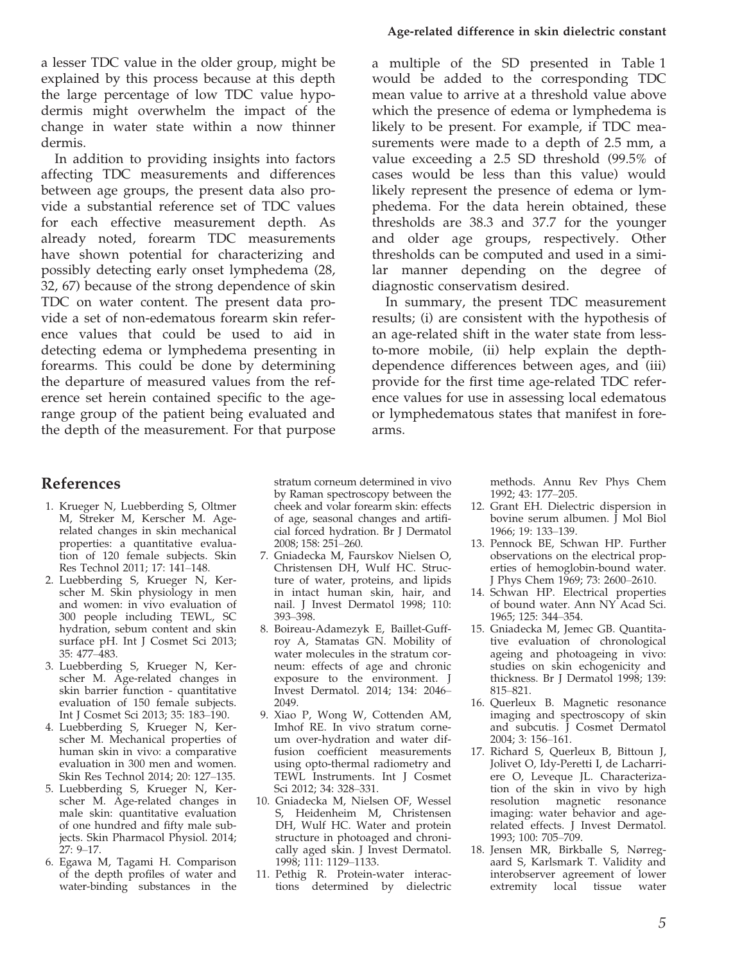a lesser TDC value in the older group, might be explained by this process because at this depth the large percentage of low TDC value hypodermis might overwhelm the impact of the change in water state within a now thinner dermis.

In addition to providing insights into factors affecting TDC measurements and differences between age groups, the present data also provide a substantial reference set of TDC values for each effective measurement depth. As already noted, forearm TDC measurements have shown potential for characterizing and possibly detecting early onset lymphedema (28, 32, 67) because of the strong dependence of skin TDC on water content. The present data provide a set of non-edematous forearm skin reference values that could be used to aid in detecting edema or lymphedema presenting in forearms. This could be done by determining the departure of measured values from the reference set herein contained specific to the agerange group of the patient being evaluated and the depth of the measurement. For that purpose

#### Age-related difference in skin dielectric constant

a multiple of the SD presented in Table 1 would be added to the corresponding TDC mean value to arrive at a threshold value above which the presence of edema or lymphedema is likely to be present. For example, if TDC measurements were made to a depth of 2.5 mm, a value exceeding a 2.5 SD threshold (99.5% of cases would be less than this value) would likely represent the presence of edema or lymphedema. For the data herein obtained, these thresholds are 38.3 and 37.7 for the younger and older age groups, respectively. Other thresholds can be computed and used in a similar manner depending on the degree of diagnostic conservatism desired.

In summary, the present TDC measurement results; (i) are consistent with the hypothesis of an age-related shift in the water state from lessto-more mobile, (ii) help explain the depthdependence differences between ages, and (iii) provide for the first time age-related TDC reference values for use in assessing local edematous or lymphedematous states that manifest in forearms.

#### References

- 1. Krueger N, Luebberding S, Oltmer M, Streker M, Kerscher M. Agerelated changes in skin mechanical properties: a quantitative evaluation of 120 female subjects. Skin Res Technol 2011; 17: 141–148.
- 2. Luebberding S, Krueger N, Kerscher M. Skin physiology in men and women: in vivo evaluation of 300 people including TEWL, SC hydration, sebum content and skin surface pH. Int J Cosmet Sci 2013; 35: 477–483.
- 3. Luebberding S, Krueger N, Kerscher M. Age-related changes in skin barrier function - quantitative evaluation of 150 female subjects. Int J Cosmet Sci 2013; 35: 183–190.
- 4. Luebberding S, Krueger N, Kerscher M. Mechanical properties of human skin in vivo: a comparative evaluation in 300 men and women. Skin Res Technol 2014; 20: 127–135.
- 5. Luebberding S, Krueger N, Kerscher M. Age-related changes in male skin: quantitative evaluation of one hundred and fifty male subjects. Skin Pharmacol Physiol. 2014; 27: 9–17.
- 6. Egawa M, Tagami H. Comparison of the depth profiles of water and water-binding substances in the

stratum corneum determined in vivo by Raman spectroscopy between the cheek and volar forearm skin: effects of age, seasonal changes and artificial forced hydration. Br J Dermatol 2008; 158: 251–260.

- 7. Gniadecka M, Faurskov Nielsen O, Christensen DH, Wulf HC. Structure of water, proteins, and lipids in intact human skin, hair, and nail. J Invest Dermatol 1998; 110: 393–398.
- 8. Boireau-Adamezyk E, Baillet-Guffroy A, Stamatas GN. Mobility of water molecules in the stratum corneum: effects of age and chronic exposure to the environment. J Invest Dermatol. 2014; 134: 2046– 2049.
- 9. Xiao P, Wong W, Cottenden AM, Imhof RE. In vivo stratum corneum over-hydration and water diffusion coefficient measurements using opto-thermal radiometry and TEWL Instruments. Int J Cosmet Sci 2012; 34: 328–331.
- 10. Gniadecka M, Nielsen OF, Wessel S, Heidenheim M, Christensen DH, Wulf HC. Water and protein structure in photoaged and chronically aged skin. J Invest Dermatol. 1998; 111: 1129–1133.
- 11. Pethig R. Protein-water interactions determined by dielectric

methods. Annu Rev Phys Chem 1992; 43: 177–205.

- 12. Grant EH. Dielectric dispersion in bovine serum albumen. J Mol Biol 1966; 19: 133–139.
- 13. Pennock BE, Schwan HP. Further observations on the electrical properties of hemoglobin-bound water. J Phys Chem 1969; 73: 2600–2610.
- 14. Schwan HP. Electrical properties of bound water. Ann NY Acad Sci. 1965; 125: 344–354.
- 15. Gniadecka M, Jemec GB. Quantitative evaluation of chronological ageing and photoageing in vivo: studies on skin echogenicity and thickness. Br J Dermatol 1998; 139: 815–821.
- 16. Querleux B. Magnetic resonance imaging and spectroscopy of skin and subcutis. J Cosmet Dermatol 2004; 3: 156–161.
- 17. Richard S, Querleux B, Bittoun J, Jolivet O, Idy-Peretti I, de Lacharriere O, Leveque JL. Characterization of the skin in vivo by high resolution magnetic resonance imaging: water behavior and agerelated effects. J Invest Dermatol. 1993; 100: 705–709.
- 18. Jensen MR, Birkballe S, Nørregaard S, Karlsmark T. Validity and interobserver agreement of lower extremity local tissue water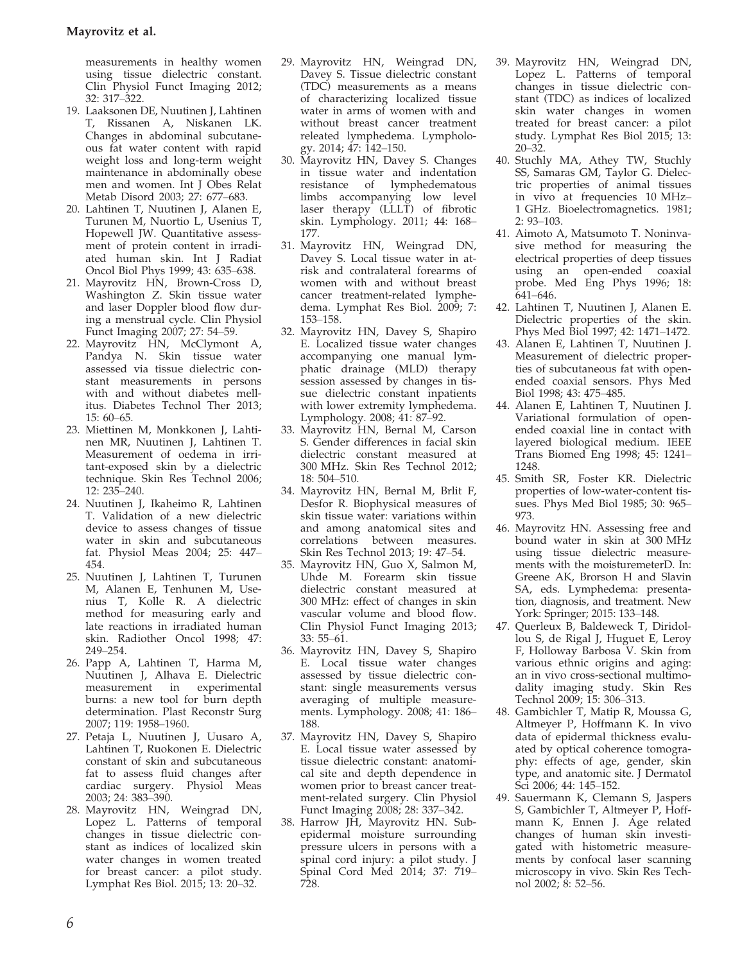measurements in healthy women using tissue dielectric constant. Clin Physiol Funct Imaging 2012; 32: 317–322.

- 19. Laaksonen DE, Nuutinen J, Lahtinen T, Rissanen A, Niskanen LK. Changes in abdominal subcutaneous fat water content with rapid weight loss and long-term weight maintenance in abdominally obese men and women. Int J Obes Relat Metab Disord 2003; 27: 677–683.
- 20. Lahtinen T, Nuutinen J, Alanen E, Turunen M, Nuortio L, Usenius T, Hopewell JW. Quantitative assessment of protein content in irradiated human skin. Int J Radiat Oncol Biol Phys 1999; 43: 635–638.
- 21. Mayrovitz HN, Brown-Cross D, Washington Z. Skin tissue water and laser Doppler blood flow during a menstrual cycle. Clin Physiol Funct Imaging 2007; 27: 54-59.
- 22. Mayrovitz HN, McClymont A, Pandya N. Skin tissue water assessed via tissue dielectric constant measurements in persons with and without diabetes mellitus. Diabetes Technol Ther 2013; 15: 60–65.
- 23. Miettinen M, Monkkonen J, Lahtinen MR, Nuutinen J, Lahtinen T. Measurement of oedema in irritant-exposed skin by a dielectric technique. Skin Res Technol 2006; 12: 235–240.
- 24. Nuutinen J, Ikaheimo R, Lahtinen T. Validation of a new dielectric device to assess changes of tissue water in skin and subcutaneous fat. Physiol Meas 2004; 25: 447– 454.
- 25. Nuutinen J, Lahtinen T, Turunen M, Alanen E, Tenhunen M, Usenius T, Kolle R. A dielectric method for measuring early and late reactions in irradiated human skin. Radiother Oncol 1998; 47: 249–254.
- 26. Papp A, Lahtinen T, Harma M, Nuutinen J, Alhava E. Dielectric measurement in burns: a new tool for burn depth determination. Plast Reconstr Surg 2007; 119: 1958–1960.
- 27. Petaja L, Nuutinen J, Uusaro A, Lahtinen T, Ruokonen E. Dielectric constant of skin and subcutaneous fat to assess fluid changes after cardiac surgery. Physiol Meas 2003; 24: 383–390.
- 28. Mayrovitz HN, Weingrad DN, Lopez L. Patterns of temporal changes in tissue dielectric constant as indices of localized skin water changes in women treated for breast cancer: a pilot study. Lymphat Res Biol. 2015; 13: 20–32.
- 29. Mayrovitz HN, Weingrad DN, Davey S. Tissue dielectric constant (TDC) measurements as a means of characterizing localized tissue water in arms of women with and without breast cancer treatment releated lymphedema. Lymphology. 2014; 47: 142–150.
- 30. Mayrovitz HN, Davey S. Changes in tissue water and indentation resistance of lymphedematous limbs accompanying low level laser therapy (LLLT) of fibrotic skin. Lymphology. 2011; 44: 168– 177.
- 31. Mayrovitz HN, Weingrad DN, Davey S. Local tissue water in atrisk and contralateral forearms of women with and without breast cancer treatment-related lymphedema. Lymphat Res Biol. 2009; 7: 153–158.
- 32. Mayrovitz HN, Davey S, Shapiro E. Localized tissue water changes accompanying one manual lymphatic drainage (MLD) therapy session assessed by changes in tissue dielectric constant inpatients with lower extremity lymphedema. Lymphology. 2008; 41: 87–92.
- 33. Mayrovitz HN, Bernal M, Carson S. Gender differences in facial skin dielectric constant measured at 300 MHz. Skin Res Technol 2012; 18: 504–510.
- 34. Mayrovitz HN, Bernal M, Brlit F, Desfor R. Biophysical measures of skin tissue water: variations within and among anatomical sites and correlations between measures. Skin Res Technol 2013; 19: 47–54.
- 35. Mayrovitz HN, Guo X, Salmon M, Uhde M. Forearm skin tissue dielectric constant measured at 300 MHz: effect of changes in skin vascular volume and blood flow. Clin Physiol Funct Imaging 2013; 33: 55–61.
- 36. Mayrovitz HN, Davey S, Shapiro E. Local tissue water changes assessed by tissue dielectric constant: single measurements versus averaging of multiple measurements. Lymphology. 2008; 41: 186– 188.
- 37. Mayrovitz HN, Davey S, Shapiro E. Local tissue water assessed by tissue dielectric constant: anatomical site and depth dependence in women prior to breast cancer treatment-related surgery. Clin Physiol Funct Imaging 2008; 28: 337–342.
- 38. Harrow JH, Mayrovitz HN. Subepidermal moisture surrounding pressure ulcers in persons with a spinal cord injury: a pilot study. J Spinal Cord Med 2014; 37: 719– 728.
- 39. Mayrovitz HN, Weingrad DN, Lopez L. Patterns of temporal changes in tissue dielectric constant (TDC) as indices of localized skin water changes in women treated for breast cancer: a pilot study. Lymphat Res Biol 2015; 13:  $20 - 32$ .
- 40. Stuchly MA, Athey TW, Stuchly SS, Samaras GM, Taylor G. Dielectric properties of animal tissues in vivo at frequencies 10 MHz– 1 GHz. Bioelectromagnetics. 1981; 2: 93–103.
- 41. Aimoto A, Matsumoto T. Noninvasive method for measuring the electrical properties of deep tissues using an open-ended coaxial probe. Med Eng Phys 1996; 18: 641–646.
- 42. Lahtinen T, Nuutinen J, Alanen E. Dielectric properties of the skin. Phys Med Biol 1997; 42: 1471–1472.
- 43. Alanen E, Lahtinen T, Nuutinen J. Measurement of dielectric properties of subcutaneous fat with openended coaxial sensors. Phys Med Biol 1998; 43: 475–485.
- 44. Alanen E, Lahtinen T, Nuutinen J. Variational formulation of openended coaxial line in contact with layered biological medium. IEEE Trans Biomed Eng 1998; 45: 1241– 1248.
- 45. Smith SR, Foster KR. Dielectric properties of low-water-content tissues. Phys Med Biol 1985; 30: 965– 973.
- 46. Mayrovitz HN. Assessing free and bound water in skin at 300 MHz using tissue dielectric measurements with the moisturemeterD. In: Greene AK, Brorson H and Slavin SA, eds. Lymphedema: presentation, diagnosis, and treatment. New York: Springer; 2015: 133–148.
- 47. Querleux B, Baldeweck T, Diridollou S, de Rigal J, Huguet E, Leroy F, Holloway Barbosa V. Skin from various ethnic origins and aging: an in vivo cross-sectional multimodality imaging study. Skin Res Technol 2009; 15: 306–313.
- 48. Gambichler T, Matip R, Moussa G, Altmeyer P, Hoffmann K. In vivo data of epidermal thickness evaluated by optical coherence tomography: effects of age, gender, skin type, and anatomic site. J Dermatol Sci 2006; 44: 145–152.
- 49. Sauermann K, Clemann S, Jaspers S, Gambichler T, Altmeyer P, Hoffmann K, Ennen J. Age related changes of human skin investigated with histometric measurements by confocal laser scanning microscopy in vivo. Skin Res Technol 2002; 8: 52–56.